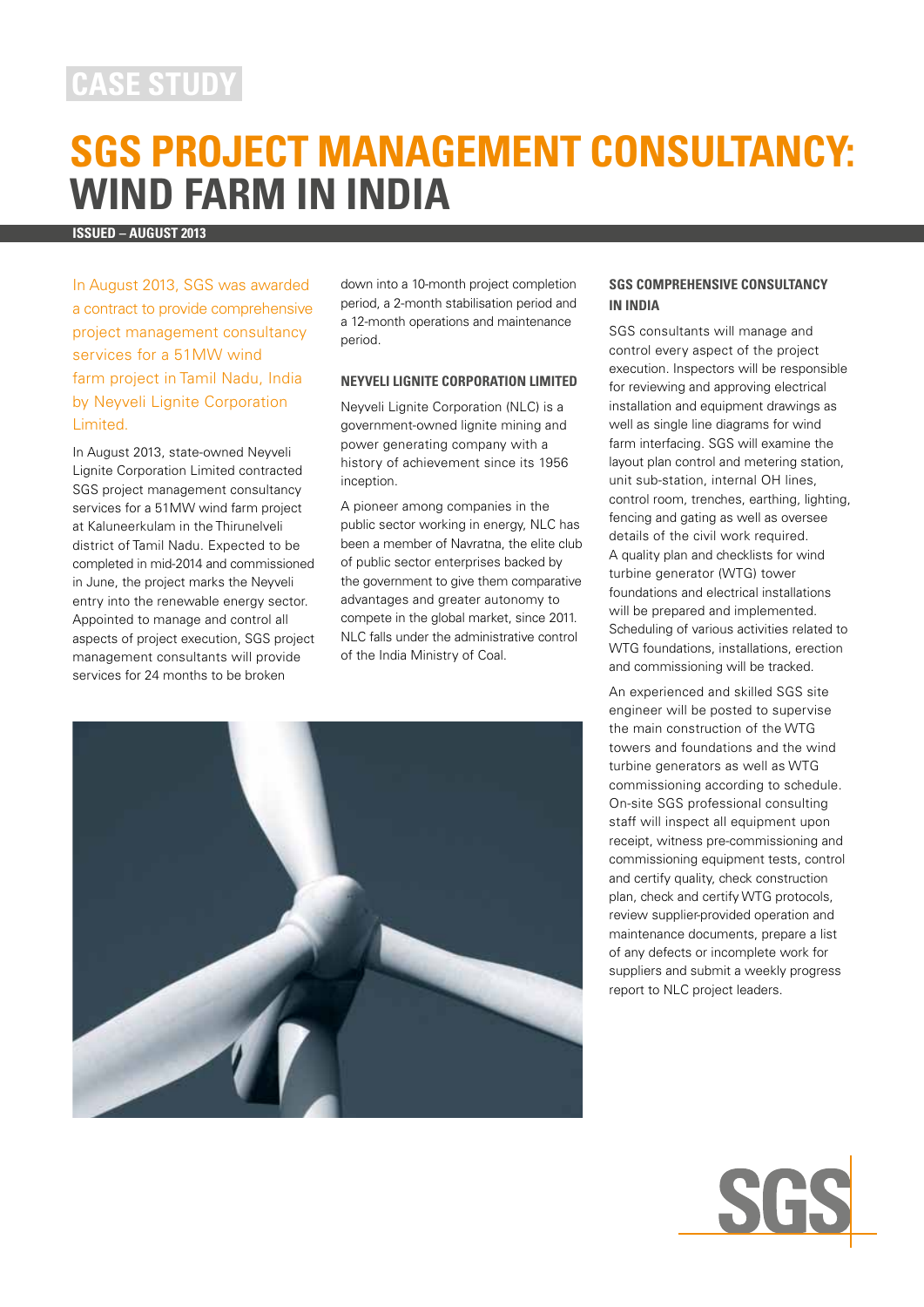## **case study**

# **SGS Project Management Consultancy: Wind Farm in India**

**Issued – august 2013**

In August 2013, SGS was awarded a contract to provide comprehensive project management consultancy services for a 51MW wind farm project in Tamil Nadu, India by Neyveli Lignite Corporation Limited.

In August 2013, state-owned Neyveli Lignite Corporation Limited contracted SGS project management consultancy services for a 51MW wind farm project at Kaluneerkulam in the Thirunelveli district of Tamil Nadu. Expected to be completed in mid-2014 and commissioned in June, the project marks the Neyveli entry into the renewable energy sector. Appointed to manage and control all aspects of project execution, SGS project management consultants will provide services for 24 months to be broken

down into a 10-month project completion period, a 2-month stabilisation period and a 12-month operations and maintenance period.

#### **Neyveli Lignite Corporation Limited**

Neyveli Lignite Corporation (NLC) is a government-owned lignite mining and power generating company with a history of achievement since its 1956 inception.

A pioneer among companies in the public sector working in energy, NLC has been a member of Navratna, the elite club of public sector enterprises backed by the government to give them comparative advantages and greater autonomy to compete in the global market, since 2011. NLC falls under the administrative control of the India Ministry of Coal.



#### **SGS Comprehensive Consultancy in India**

SGS consultants will manage and control every aspect of the project execution. Inspectors will be responsible for reviewing and approving electrical installation and equipment drawings as well as single line diagrams for wind farm interfacing. SGS will examine the layout plan control and metering station, unit sub-station, internal OH lines, control room, trenches, earthing, lighting, fencing and gating as well as oversee details of the civil work required. A quality plan and checklists for wind turbine generator (WTG) tower foundations and electrical installations will be prepared and implemented. Scheduling of various activities related to WTG foundations, installations, erection and commissioning will be tracked.

An experienced and skilled SGS site engineer will be posted to supervise the main construction of the WTG towers and foundations and the wind turbine generators as well as WTG commissioning according to schedule. On-site SGS professional consulting staff will inspect all equipment upon receipt, witness pre-commissioning and commissioning equipment tests, control and certify quality, check construction plan, check and certify WTG protocols, review supplier-provided operation and maintenance documents, prepare a list of any defects or incomplete work for suppliers and submit a weekly progress report to NLC project leaders.